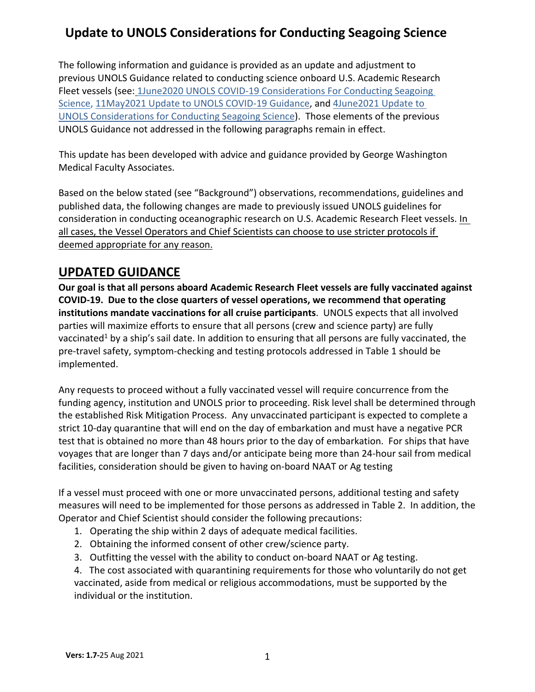The following information and guidance is provided as an update and adjustment to previous UNOLS Guidance related to conducting science onboard U.S. Academic Research Fleet vessels (see: 1June2020 UNOLS COVID-19 Considerations For Conducting Seagoing Science, 11May2021 Update to UNOLS COVID-19 Guidance, and 4June2021 Update to UNOLS Considerations for Conducting Seagoing Science). Those elements of the previous UNOLS Guidance not addressed in the following paragraphs remain in effect.

This update has been developed with advice and guidance provided by George Washington Medical Faculty Associates.

Based on the below stated (see "Background") observations, recommendations, guidelines and published data, the following changes are made to previously issued UNOLS guidelines for consideration in conducting oceanographic research on U.S. Academic Research Fleet vessels. In all cases, the Vessel Operators and Chief Scientists can choose to use stricter protocols if deemed appropriate for any reason.

### **UPDATED GUIDANCE**

**Our goal is that all persons aboard Academic Research Fleet vessels are fully vaccinated against COVID-19. Due to the close quarters of vessel operations, we recommend that operating institutions mandate vaccinations for all cruise participants**.UNOLS expects that all involved parties will maximize efforts to ensure that all persons (crew and science party) are fully vaccinated<sup>1</sup> by a ship's sail date. In addition to ensuring that all persons are fully vaccinated, the pre-travel safety, symptom-checking and testing protocols addressed in Table 1 should be implemented.

Any requests to proceed without a fully vaccinated vessel will require concurrence from the funding agency, institution and UNOLS prior to proceeding. Risk level shall be determined through the established Risk Mitigation Process. Any unvaccinated participant is expected to complete a strict 10-day quarantine that will end on the day of embarkation and must have a negative PCR test that is obtained no more than 48 hours prior to the day of embarkation. For ships that have voyages that are longer than 7 days and/or anticipate being more than 24-hour sail from medical facilities, consideration should be given to having on-board NAAT or Ag testing

If a vessel must proceed with one or more unvaccinated persons, additional testing and safety measures will need to be implemented for those persons as addressed in Table 2. In addition, the Operator and Chief Scientist should consider the following precautions:

- 1. Operating the ship within 2 days of adequate medical facilities.
- 2. Obtaining the informed consent of other crew/science party.
- 3. Outfitting the vessel with the ability to conduct on-board NAAT or Ag testing.
- 4. The cost associated with quarantining requirements for those who voluntarily do not get vaccinated, aside from medical or religious accommodations, must be supported by the individual or the institution.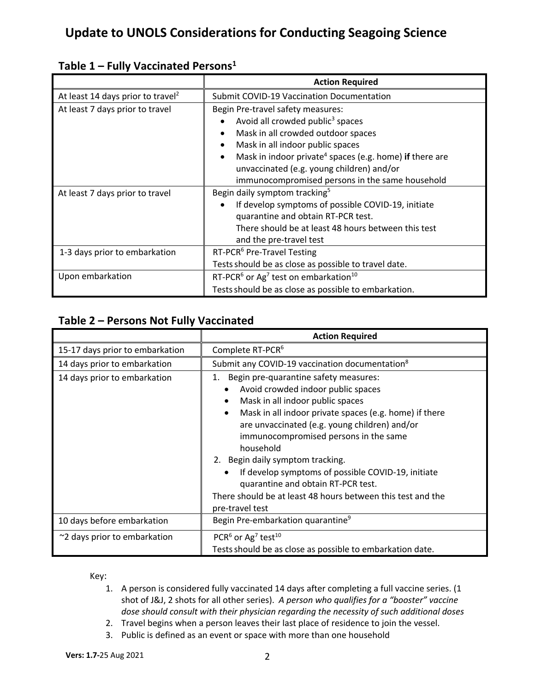|                                               | <b>Action Required</b>                                                           |  |  |
|-----------------------------------------------|----------------------------------------------------------------------------------|--|--|
| At least 14 days prior to travel <sup>2</sup> | <b>Submit COVID-19 Vaccination Documentation</b>                                 |  |  |
| At least 7 days prior to travel               | Begin Pre-travel safety measures:                                                |  |  |
|                                               | Avoid all crowded public <sup>3</sup> spaces                                     |  |  |
|                                               | Mask in all crowded outdoor spaces<br>$\bullet$                                  |  |  |
|                                               | Mask in all indoor public spaces<br>$\bullet$                                    |  |  |
|                                               | Mask in indoor private <sup>4</sup> spaces (e.g. home) if there are<br>$\bullet$ |  |  |
|                                               | unvaccinated (e.g. young children) and/or                                        |  |  |
|                                               | immunocompromised persons in the same household                                  |  |  |
| At least 7 days prior to travel               | Begin daily symptom tracking <sup>5</sup>                                        |  |  |
|                                               | If develop symptoms of possible COVID-19, initiate<br>$\bullet$                  |  |  |
|                                               | quarantine and obtain RT-PCR test.                                               |  |  |
|                                               | There should be at least 48 hours between this test                              |  |  |
|                                               | and the pre-travel test                                                          |  |  |
| 1-3 days prior to embarkation                 | RT-PCR <sup>6</sup> Pre-Travel Testing                                           |  |  |
|                                               | Tests should be as close as possible to travel date.                             |  |  |
| Upon embarkation                              | RT-PCR <sup>6</sup> or Ag <sup>7</sup> test on embarkation <sup>10</sup>         |  |  |
|                                               | Tests should be as close as possible to embarkation.                             |  |  |

### **Table 1 – Fully Vaccinated Persons1**

### **Table 2 – Persons Not Fully Vaccinated**

|                                 | <b>Action Required</b>                                                                                                                                                                                                                                                                                                                                                                                                                                                                             |  |
|---------------------------------|----------------------------------------------------------------------------------------------------------------------------------------------------------------------------------------------------------------------------------------------------------------------------------------------------------------------------------------------------------------------------------------------------------------------------------------------------------------------------------------------------|--|
| 15-17 days prior to embarkation | Complete RT-PCR <sup>6</sup>                                                                                                                                                                                                                                                                                                                                                                                                                                                                       |  |
| 14 days prior to embarkation    | Submit any COVID-19 vaccination documentation <sup>8</sup>                                                                                                                                                                                                                                                                                                                                                                                                                                         |  |
| 14 days prior to embarkation    | Begin pre-quarantine safety measures:<br>1.<br>Avoid crowded indoor public spaces<br>Mask in all indoor public spaces<br>Mask in all indoor private spaces (e.g. home) if there<br>are unvaccinated (e.g. young children) and/or<br>immunocompromised persons in the same<br>household<br>2. Begin daily symptom tracking.<br>If develop symptoms of possible COVID-19, initiate<br>$\bullet$<br>quarantine and obtain RT-PCR test.<br>There should be at least 48 hours between this test and the |  |
| 10 days before embarkation      | pre-travel test<br>Begin Pre-embarkation quarantine <sup>9</sup>                                                                                                                                                                                                                                                                                                                                                                                                                                   |  |
| ~2 days prior to embarkation    | PCR <sup>6</sup> or Ag <sup>7</sup> test <sup>10</sup><br>Tests should be as close as possible to embarkation date.                                                                                                                                                                                                                                                                                                                                                                                |  |

Key:

1. A person is considered fully vaccinated 14 days after completing a full vaccine series. (1 shot of J&J, 2 shots for all other series). *A person who qualifies for a "booster" vaccine dose should consult with their physician regarding the necessity of such additional doses*

- 2. Travel begins when a person leaves their last place of residence to join the vessel.
- 3. Public is defined as an event or space with more than one household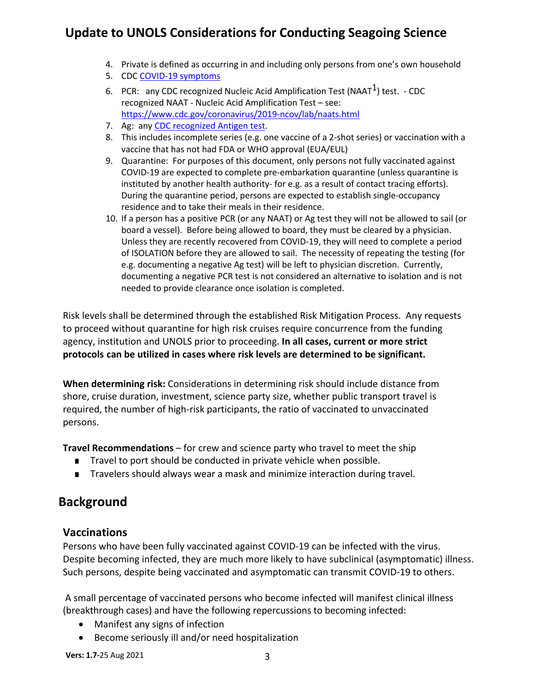- 4. Private is defined as occurring in and including only persons from one's own household
- 5. CDC COVID-19 symptoms
- 6. PCR: any CDC recognized Nucleic Acid Amplification Test (NAAT<sup>1</sup>) test. CDC recognized NAAT - Nucleic Acid Amplification Test – see: https://www.cdc.gov/coronavirus/2019-ncov/lab/naats.html
- 7. Ag: any CDC recognized Antigen test.
- 8. This includes incomplete series (e.g. one vaccine of a 2-shot series) or vaccination with a vaccine that has not had FDA or WHO approval (EUA/EUL)
- 9. Quarantine: For purposes of this document, only persons not fully vaccinated against COVID-19 are expected to complete pre-embarkation quarantine (unless quarantine is instituted by another health authority- for e.g. as a result of contact tracing efforts). During the quarantine period, persons are expected to establish single-occupancy residence and to take their meals in their residence.
- 10. If a person has a positive PCR (or any NAAT) or Ag test they will not be allowed to sail (or board a vessel). Before being allowed to board, they must be cleared by a physician. Unless they are recently recovered from COVID-19, they will need to complete a period of ISOLATION before they are allowed to sail. The necessity of repeating the testing (for e.g. documenting a negative Ag test) will be left to physician discretion. Currently, documenting a negative PCR test is not considered an alternative to isolation and is not needed to provide clearance once isolation is completed.

Risk levels shall be determined through the established Risk Mitigation Process. Any requests to proceed without quarantine for high risk cruises require concurrence from the funding agency, institution and UNOLS prior to proceeding. **In all cases, current or more strict protocols can be utilized in cases where risk levels are determined to be significant.**

**When determining risk:** Considerations in determining risk should include distance from shore, cruise duration, investment, science party size, whether public transport travel is required, the number of high-risk participants, the ratio of vaccinated to unvaccinated persons.

**Travel Recommendations** – for crew and science party who travel to meet the ship

- Travel to port should be conducted in private vehicle when possible.
- Travelers should always wear a mask and minimize interaction during travel.

### **Background**

#### **Vaccinations**

Persons who have been fully vaccinated against COVID-19 can be infected with the virus. Despite becoming infected, they are much more likely to have subclinical (asymptomatic) illness. Such persons, despite being vaccinated and asymptomatic can transmit COVID-19 to others.

A small percentage of vaccinated persons who become infected will manifest clinical illness (breakthrough cases) and have the following repercussions to becoming infected:

- Manifest any signs of infection
- Become seriously ill and/or need hospitalization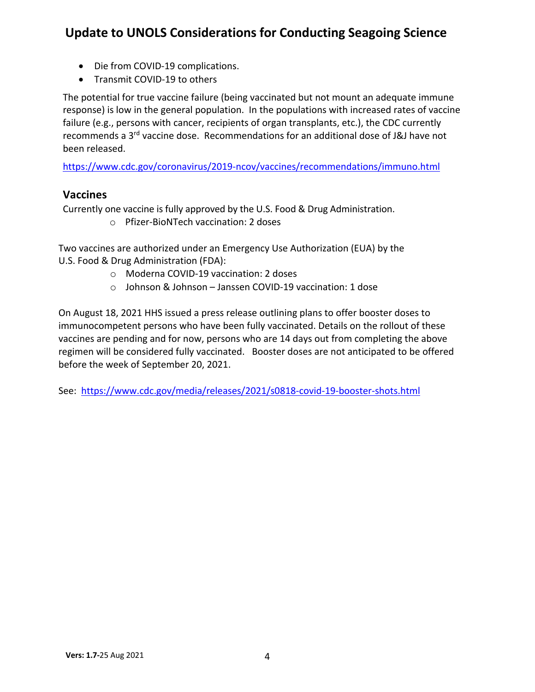- Die from COVID-19 complications.
- Transmit COVID-19 to others

The potential for true vaccine failure (being vaccinated but not mount an adequate immune response) is low in the general population. In the populations with increased rates of vaccine failure (e.g., persons with cancer, recipients of organ transplants, etc.), the CDC currently recommends a 3rd vaccine dose. Recommendations for an additional dose of J&J have not been released.

https://www.cdc.gov/coronavirus/2019-ncov/vaccines/recommendations/immuno.html

#### **Vaccines**

Currently one vaccine is fully approved by the U.S. Food & Drug Administration.

o Pfizer-BioNTech vaccination: 2 doses

Two vaccines are authorized under an Emergency Use Authorization (EUA) by the U.S. Food & Drug Administration (FDA):

- o Moderna COVID-19 vaccination: 2 doses
- o Johnson & Johnson Janssen COVID-19 vaccination: 1 dose

On August 18, 2021 HHS issued a press release outlining plans to offer booster doses to immunocompetent persons who have been fully vaccinated. Details on the rollout of these vaccines are pending and for now, persons who are 14 days out from completing the above regimen will be considered fully vaccinated. Booster doses are not anticipated to be offered before the week of September 20, 2021.

See: https://www.cdc.gov/media/releases/2021/s0818-covid-19-booster-shots.html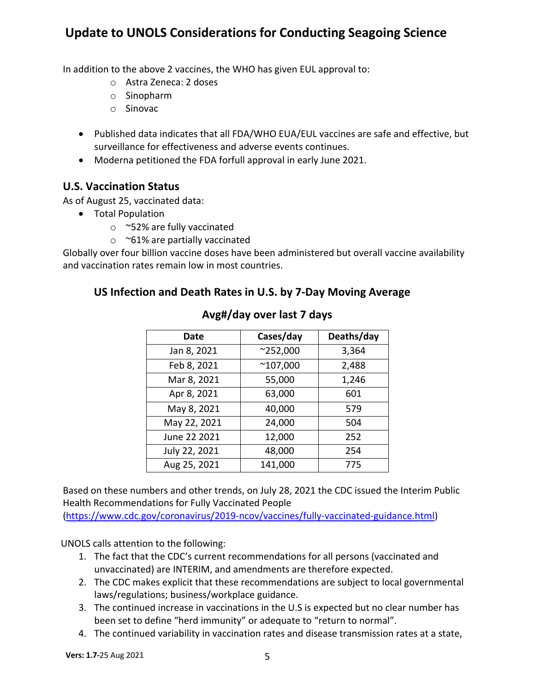In addition to the above 2 vaccines, the WHO has given EUL approval to:

- o Astra Zeneca: 2 doses
- o Sinopharm
- o Sinovac
- Published data indicates that all FDA/WHO EUA/EUL vaccines are safe and effective, but surveillance for effectiveness and adverse events continues.
- Moderna petitioned the FDA forfull approval in early June 2021.

#### **U.S. Vaccination Status**

As of August 25, vaccinated data:

- Total Population
	- o ~52% are fully vaccinated
	- o ~61% are partially vaccinated

Globally over four billion vaccine doses have been administered but overall vaccine availability and vaccination rates remain low in most countries.

#### **US Infection and Death Rates in U.S. by 7-Day Moving Average**

| Date          | Cases/day        | Deaths/day |
|---------------|------------------|------------|
| Jan 8, 2021   | $^{\sim}252,000$ | 3,364      |
| Feb 8, 2021   | $^{\sim}107,000$ | 2,488      |
| Mar 8, 2021   | 55,000           | 1,246      |
| Apr 8, 2021   | 63,000           | 601        |
| May 8, 2021   | 40,000           | 579        |
| May 22, 2021  | 24,000           | 504        |
| June 22 2021  | 12,000           | 252        |
| July 22, 2021 | 48,000           | 254        |
| Aug 25, 2021  | 141,000          | 775        |

#### **Avg#/day over last 7 days**

Based on these numbers and other trends, on July 28, 2021 the CDC issued the Interim Public Health Recommendations for Fully Vaccinated People

(https://www.cdc.gov/coronavirus/2019-ncov/vaccines/fully-vaccinated-guidance.html)

UNOLS calls attention to the following:

- 1. The fact that the CDC's current recommendations for all persons (vaccinated and unvaccinated) are INTERIM, and amendments are therefore expected.
- 2. The CDC makes explicit that these recommendations are subject to local governmental laws/regulations; business/workplace guidance.
- 3. The continued increase in vaccinations in the U.S is expected but no clear number has been set to define "herd immunity" or adequate to "return to normal".
- 4. The continued variability in vaccination rates and disease transmission rates at a state,